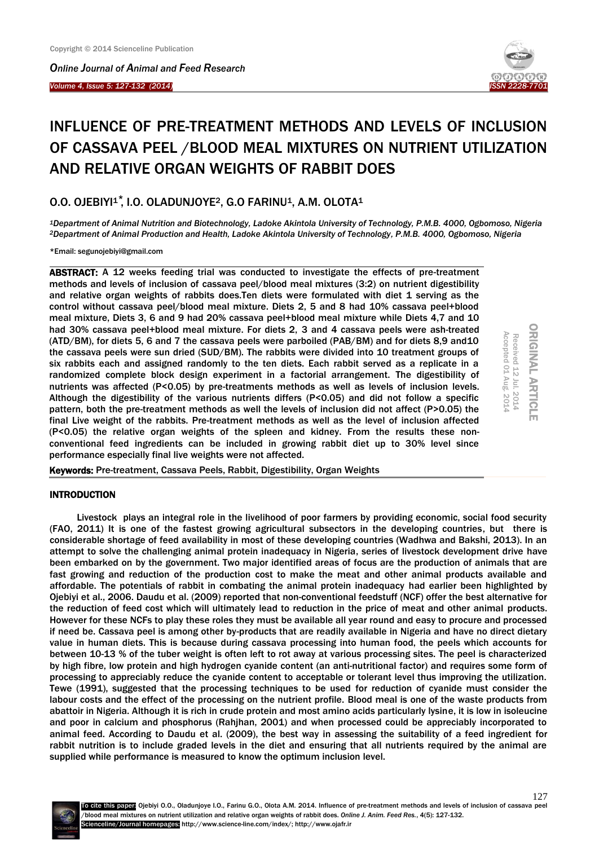*Online Journal of Animal and Feed Research* 

#### *Volume 4, Issue 5: 127-132 (2014)*  Ĩ



# INFLUENCE OF PRE-TREATMENT METHODS AND LEVELS OF INCLUSION OF CASSAVA PEEL /BLOOD MEAL MIXTURES ON NUTRIENT UTILIZATION AND RELATIVE ORGAN WEIGHTS OF RABBIT DOES

O.O. OJEBIYI<sup>1</sup>, I.O. OLADUNJOYE<sup>2</sup>, G.O FARINU<sup>1</sup>, A.M. OLOTA<sup>1</sup>

*<sup>1</sup>Department of Animal Nutrition and Biotechnology, Ladoke Akintola University of Technology, P.M.B. 4000, Ogbomoso, Nigeria <sup>2</sup>Department of Animal Production and Health, Ladoke Akintola University of Technology, P.M.B. 4000, Ogbomoso, Nigeria*

\*Email: segunojebiyi@gmail.com

ABSTRACT: A 12 weeks feeding trial was conducted to investigate the effects of pre-treatment methods and levels of inclusion of cassava peel/blood meal mixtures (3:2) on nutrient digestibility and relative organ weights of rabbits does.Ten diets were formulated with diet 1 serving as the control without cassava peel/blood meal mixture. Diets 2, 5 and 8 had 10% cassava peel+blood meal mixture, Diets 3, 6 and 9 had 20% cassava peel+blood meal mixture while Diets 4,7 and 10 had 30% cassava peel+blood meal mixture. For diets 2, 3 and 4 cassava peels were ash-treated (ATD/BM), for diets 5, 6 and 7 the cassava peels were parboiled (PAB/BM) and for diets 8,9 and10 the cassava peels were sun dried (SUD/BM). The rabbits were divided into 10 treatment groups of six rabbits each and assigned randomly to the ten diets. Each rabbit served as a replicate in a randomized complete block design experiment in a factorial arrangement. The digestibility of nutrients was affected (P<0.05) by pre-treatments methods as well as levels of inclusion levels. Although the digestibility of the various nutrients differs (P<0.05) and did not follow a specific pattern, both the pre-treatment methods as well the levels of inclusion did not affect (P>0.05) the final Live weight of the rabbits. Pre-treatment methods as well as the level of inclusion affected (P<0.05) the relative organ weights of the spleen and kidney. From the results these nonconventional feed ingredients can be included in growing rabbit diet up to 30% level since performance especially final live weights were not affected.



Keywords: Pre-treatment, Cassava Peels, Rabbit, Digestibility, Organ Weights

## **INTRODUCTION**

Livestock plays an integral role in the livelihood of poor farmers by providing economic, social food security (FAO, 2011) It is one of the fastest growing agricultural subsectors in the developing countries, but there is considerable shortage of feed availability in most of these developing countries (Wadhwa and Bakshi, 2013). In an attempt to solve the challenging animal protein inadequacy in Nigeria, series of livestock development drive have been embarked on by the government. Two major identified areas of focus are the production of animals that are fast growing and reduction of the production cost to make the meat and other animal products available and affordable. The potentials of rabbit in combating the animal protein inadequacy had earlier been highlighted by Ojebiyi et al., 2006. Daudu et al. (2009) reported that non-conventional feedstuff (NCF) offer the best alternative for the reduction of feed cost which will ultimately lead to reduction in the price of meat and other animal products. However for these NCFs to play these roles they must be available all year round and easy to procure and processed if need be. Cassava peel is among other by-products that are readily available in Nigeria and have no direct dietary value in human diets. This is because during cassava processing into human food, the peels which accounts for between 10-13 % of the tuber weight is often left to rot away at various processing sites. The peel is characterized by high fibre, low protein and high hydrogen cyanide content (an anti-nutritional factor) and requires some form of processing to appreciably reduce the cyanide content to acceptable or tolerant level thus improving the utilization. Tewe (1991), suggested that the processing techniques to be used for reduction of cyanide must consider the labour costs and the effect of the processing on the nutrient profile. Blood meal is one of the waste products from abattoir in Nigeria. Although it is rich in crude protein and most amino acids particularly lysine, it is low in isoleucine and poor in calcium and phosphorus (Rahjhan, 2001) and when processed could be appreciably incorporated to animal feed. According to Daudu et al. (2009), the best way in assessing the suitability of a feed ingredient for rabbit nutrition is to include graded levels in the diet and ensuring that all nutrients required by the animal are supplied while performance is measured to know the optimum inclusion level.

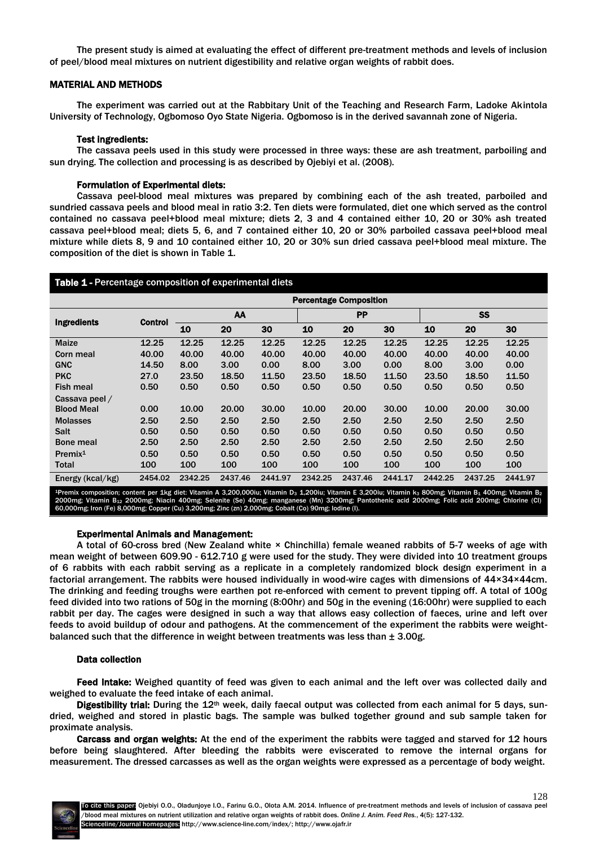The present study is aimed at evaluating the effect of different pre-treatment methods and levels of inclusion of peel/blood meal mixtures on nutrient digestibility and relative organ weights of rabbit does.

# MATERIAL AND METHODS

The experiment was carried out at the Rabbitary Unit of the Teaching and Research Farm, Ladoke Akintola University of Technology, Ogbomoso Oyo State Nigeria. Ogbomoso is in the derived savannah zone of Nigeria.

## Test ingredients:

The cassava peels used in this study were processed in three ways: these are ash treatment, parboiling and sun drying. The collection and processing is as described by Ojebiyi et al. (2008).

## Formulation of Experimental diets:

Cassava peel-blood meal mixtures was prepared by combining each of the ash treated, parboiled and sundried cassava peels and blood meal in ratio 3:2. Ten diets were formulated, diet one which served as the control contained no cassava peel+blood meal mixture; diets 2, 3 and 4 contained either 10, 20 or 30% ash treated cassava peel+blood meal; diets 5, 6, and 7 contained either 10, 20 or 30% parboiled cassava peel+blood meal mixture while diets 8, 9 and 10 contained either 10, 20 or 30% sun dried cassava peel+blood meal mixture. The composition of the diet is shown in Table 1.

# Table 1 - Percentage composition of experimental diets

|                     |                | <b>Percentage Composition</b> |         |           |         |         |           |         |         |         |
|---------------------|----------------|-------------------------------|---------|-----------|---------|---------|-----------|---------|---------|---------|
| <b>Ingredients</b>  | <b>Control</b> | AA                            |         | <b>PP</b> |         |         | <b>SS</b> |         |         |         |
|                     |                | 10                            | 20      | 30        | 10      | 20      | 30        | 10      | 20      | 30      |
| <b>Maize</b>        | 12.25          | 12.25                         | 12.25   | 12.25     | 12.25   | 12.25   | 12.25     | 12.25   | 12.25   | 12.25   |
| Corn meal           | 40.00          | 40.00                         | 40.00   | 40.00     | 40.00   | 40.00   | 40.00     | 40.00   | 40.00   | 40.00   |
| <b>GNC</b>          | 14.50          | 8.00                          | 3.00    | 0.00      | 8.00    | 3.00    | 0.00      | 8.00    | 3.00    | 0.00    |
| <b>PKC</b>          | 27.0           | 23.50                         | 18.50   | 11.50     | 23.50   | 18.50   | 11.50     | 23.50   | 18.50   | 11.50   |
| <b>Fish meal</b>    | 0.50           | 0.50                          | 0.50    | 0.50      | 0.50    | 0.50    | 0.50      | 0.50    | 0.50    | 0.50    |
| Cassava peel /      |                |                               |         |           |         |         |           |         |         |         |
| <b>Blood Meal</b>   | 0.00           | 10.00                         | 20.00   | 30.00     | 10.00   | 20.00   | 30.00     | 10.00   | 20.00   | 30.00   |
| <b>Molasses</b>     | 2.50           | 2.50                          | 2.50    | 2.50      | 2.50    | 2.50    | 2.50      | 2.50    | 2.50    | 2.50    |
| <b>Salt</b>         | 0.50           | 0.50                          | 0.50    | 0.50      | 0.50    | 0.50    | 0.50      | 0.50    | 0.50    | 0.50    |
| <b>Bone meal</b>    | 2.50           | 2.50                          | 2.50    | 2.50      | 2.50    | 2.50    | 2.50      | 2.50    | 2.50    | 2.50    |
| Premix <sup>1</sup> | 0.50           | 0.50                          | 0.50    | 0.50      | 0.50    | 0.50    | 0.50      | 0.50    | 0.50    | 0.50    |
| Total               | 100            | 100                           | 100     | 100       | 100     | 100     | 100       | 100     | 100     | 100     |
| Energy (kcal/kg)    | 2454.02        | 2342.25                       | 2437.46 | 2441.97   | 2342.25 | 2437.46 | 2441.17   | 2442.25 | 2437.25 | 2441.97 |

emix composition; content per 1kg diet: Vitamin A 3,200,000iu; Vitamin D3 1,200iu; Vitamin E 3,200iu; Vitamin ks 800mg; Vitamin B1 400mg; Vitamin B2 2000mg; Vitamin B12 2000mg; Niacin 400mg; Selenite (Se) 40mg; manganese (Mn) 3200mg; Pantothenic acid 2000mg; Folic acid 200mg; Chlorine (Cl)<br>60,000mg; Iron (Fe) 8,000mg; Copper (Cu) 3,200mg; Zinc (zn) 2,000mg; Cobalt (Co)

#### Experimental Animals and Management:

A total of 60-cross bred (New Zealand white × Chinchilla) female weaned rabbits of 5-7 weeks of age with mean weight of between 609.90 - 612.710 g were used for the study. They were divided into 10 treatment groups of 6 rabbits with each rabbit serving as a replicate in a completely randomized block design experiment in a factorial arrangement. The rabbits were housed individually in wood-wire cages with dimensions of 44×34×44cm. The drinking and feeding troughs were earthen pot re-enforced with cement to prevent tipping off. A total of 100g feed divided into two rations of 50g in the morning (8:00hr) and 50g in the evening (16:00hr) were supplied to each rabbit per day. The cages were designed in such a way that allows easy collection of faeces, urine and left over feeds to avoid buildup of odour and pathogens. At the commencement of the experiment the rabbits were weightbalanced such that the difference in weight between treatments was less than  $\pm$  3.00g.

## Data collection

Feed Intake: Weighed quantity of feed was given to each animal and the left over was collected daily and weighed to evaluate the feed intake of each animal.

Digestibility trial: During the 12<sup>th</sup> week, daily faecal output was collected from each animal for 5 days, sundried, weighed and stored in plastic bags. The sample was bulked together ground and sub sample taken for proximate analysis.

Carcass and organ weights: At the end of the experiment the rabbits were tagged and starved for 12 hours before being slaughtered. After bleeding the rabbits were eviscerated to remove the internal organs for measurement. The dressed carcasses as well as the organ weights were expressed as a percentage of body weight.



128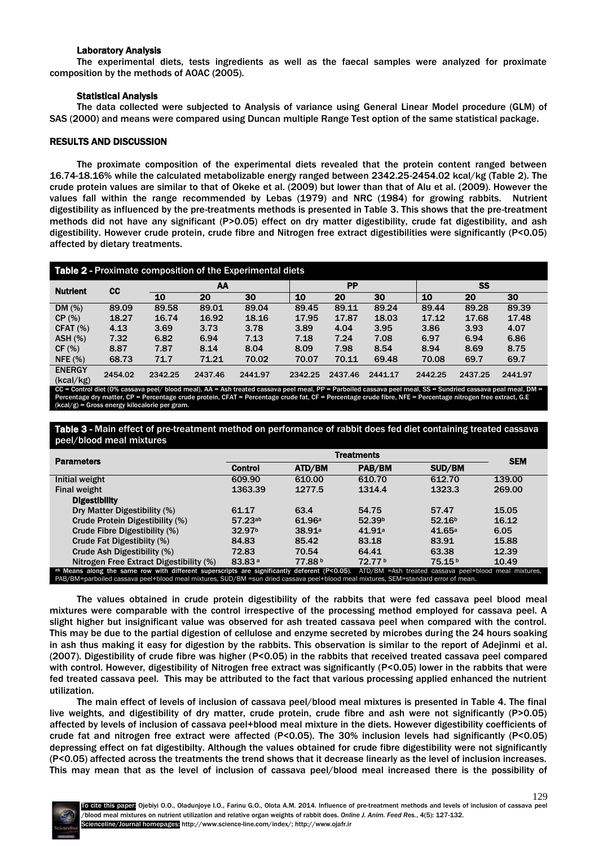## Laboratory Analysis

The experimental diets, tests ingredients as well as the faecal samples were analyzed for proximate composition by the methods of AOAC (2005).

# Statistical Analysis

The data collected were subjected to Analysis of variance using General Linear Model procedure (GLM) of SAS (2000) and means were compared using Duncan multiple Range Test option of the same statistical package.

# RESULTS AND DISCUSSION

The proximate composition of the experimental diets revealed that the protein content ranged between 16.74-18.16% while the calculated metabolizable energy ranged between 2342.25-2454.02 kcal/kg (Table 2). The crude protein values are similar to that of Okeke et al. (2009) but lower than that of Alu et al. (2009). However the values fall within the range recommended by Lebas (1979) and NRC (1984) for growing rabbits. Nutrient digestibility as influenced by the pre-treatments methods is presented in Table 3. This shows that the pre-treatment methods did not have any significant (P>0.05) effect on dry matter digestibility, crude fat digestibility, and ash digestibility. However crude protein, crude fibre and Nitrogen free extract digestibilities were significantly (P<0.05) affected by dietary treatments.

| Table 2 - Proximate composition of the Experimental diets |         |         |         |         |           |         |         |           |         |         |
|-----------------------------------------------------------|---------|---------|---------|---------|-----------|---------|---------|-----------|---------|---------|
| <b>Nutrient</b>                                           | cc      | AA      |         |         | <b>PP</b> |         |         | <b>SS</b> |         |         |
|                                                           |         | 10      | 20      | 30      | 10        | 20      | 30      | 10        | 20      | 30      |
| DM(%)                                                     | 89.09   | 89.58   | 89.01   | 89.04   | 89.45     | 89.11   | 89.24   | 89.44     | 89.28   | 89.39   |
| CP(%)                                                     | 18.27   | 16.74   | 16.92   | 18.16   | 17.95     | 17.87   | 18.03   | 17.12     | 17.68   | 17.48   |
| CFAT (%)                                                  | 4.13    | 3.69    | 3.73    | 3.78    | 3.89      | 4.04    | 3.95    | 3.86      | 3.93    | 4.07    |
| ASH(%)                                                    | 7.32    | 6.82    | 6.94    | 7.13    | 7.18      | 7.24    | 7.08    | 6.97      | 6.94    | 6.86    |
| CF(%)                                                     | 8.87    | 7.87    | 8.14    | 8.04    | 8.09      | 7.98    | 8.54    | 8.94      | 8.69    | 8.75    |
| NFE $(%)$                                                 | 68.73   | 71.7    | 71.21   | 70.02   | 70.07     | 70.11   | 69.48   | 70.08     | 69.7    | 69.7    |
| <b>ENERGY</b><br>(kcal/kg)                                | 2454.02 | 2342.25 | 2437.46 | 2441.97 | 2342.25   | 2437.46 | 2441.17 | 2442.25   | 2437.25 | 2441.97 |

= Control diet (0% cassava peel/ blood meal), AA = Ash treated cassava peel meal, PP = Parboiled cassava peel meal, SS = Sundried cassava peal meal Percentage dry matter, CP = Percentage crude protein, CFAT = Percentage crude fat, CF = Percentage crude fibre, NFE = Percentage nitrogen free extract, G.E (kcal/g) = Gross energy kilocalorie per gram.

Table 3 - Main effect of pre-treatment method on performance of rabbit does fed diet containing treated cassava peel/blood meal mixtures

| <b>Parameters</b>                                                                                                                                                                                                                                                                        |                    | <b>SEM</b>         |                    |                    |        |  |  |
|------------------------------------------------------------------------------------------------------------------------------------------------------------------------------------------------------------------------------------------------------------------------------------------|--------------------|--------------------|--------------------|--------------------|--------|--|--|
|                                                                                                                                                                                                                                                                                          | Control            | ATD/BM             | PAB/BM             | SUD/BM             |        |  |  |
| Initial weight                                                                                                                                                                                                                                                                           | 609.90             | 610.00             | 610.70             | 612.70             | 139.00 |  |  |
| Final weight                                                                                                                                                                                                                                                                             | 1363.39            | 1277.5             | 1314.4             | 1323.3             | 269.00 |  |  |
| <b>Digestibility</b>                                                                                                                                                                                                                                                                     |                    |                    |                    |                    |        |  |  |
| Dry Matter Digestibility (%)                                                                                                                                                                                                                                                             | 61.17              | 63.4               | 54.75              | 57.47              | 15.05  |  |  |
| Crude Protein Digestibility (%)                                                                                                                                                                                                                                                          | 57.23ab            | 61.96a             | 52.39 <sup>b</sup> | 52.16 <sup>b</sup> | 16.12  |  |  |
| Crude Fibre Digestibility (%)                                                                                                                                                                                                                                                            | 32.97 <sup>b</sup> | 38.91 <sup>a</sup> | 41.91a             | 41.65a             | 6.05   |  |  |
| Crude Fat Digestibiity (%)                                                                                                                                                                                                                                                               | 84.83              | 85.42              | 83.18              | 83.91              | 15.88  |  |  |
| Crude Ash Digestibility (%)                                                                                                                                                                                                                                                              | 72.83              | 70.54              | 64.41              | 63.38              | 12.39  |  |  |
| Nitrogen Free Extract Digestibility (%)                                                                                                                                                                                                                                                  | 83.83 <sup>a</sup> | 77.88b             | 72.77b             | 75.15 <sup>b</sup> | 10.49  |  |  |
| ab Means along the same row with different superscripts are significantly deferent (P<0.05). ATD/BM =Ash treated cassava peel+blood meal mixtures,<br>PAB/BM=parboiled cassava peel+blood meal mixtures, SUD/BM =sun dried cassava peel+blood meal mixtures, SEM=standard error of mean. |                    |                    |                    |                    |        |  |  |

The values obtained in crude protein digestibility of the rabbits that were fed cassava peel blood meal mixtures were comparable with the control irrespective of the processing method employed for cassava peel. A slight higher but insignificant value was observed for ash treated cassava peel when compared with the control. This may be due to the partial digestion of cellulose and enzyme secreted by microbes during the 24 hours soaking in ash thus making it easy for digestion by the rabbits. This observation is similar to the report of Adejinmi et al. (2007). Digestibility of crude fibre was higher (P<0.05) in the rabbits that received treated cassava peel compared with control. However, digestibility of Nitrogen free extract was significantly (P<0.05) lower in the rabbits that were fed treated cassava peel. This may be attributed to the fact that various processing applied enhanced the nutrient utilization.

The main effect of levels of inclusion of cassava peel/blood meal mixtures is presented in Table 4. The final live weights, and digestibility of dry matter, crude protein, crude fibre and ash were not significantly (P>0.05) affected by levels of inclusion of cassava peel+blood meal mixture in the diets. However digestibility coefficients of crude fat and nitrogen free extract were affected (P<0.05). The 30% inclusion levels had significantly (P<0.05) depressing effect on fat digestibilty. Although the values obtained for crude fibre digestibility were not significantly (P<0.05) affected across the treatments the trend shows that it decrease linearly as the level of inclusion increases. This may mean that as the level of inclusion of cassava peel/blood meal increased there is the possibility of

129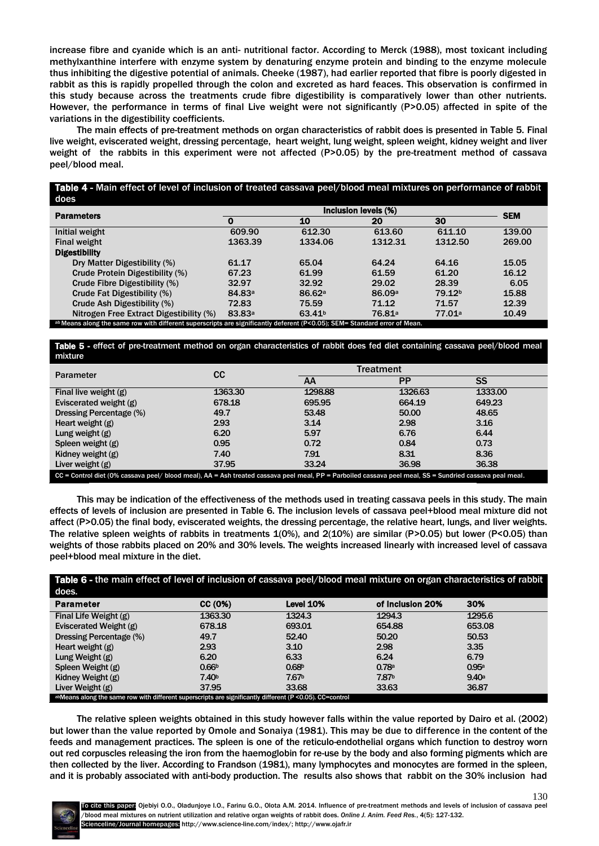increase fibre and cyanide which is an anti- nutritional factor. According to Merck (1988), most toxicant including methylxanthine interfere with enzyme system by denaturing enzyme protein and binding to the enzyme molecule thus inhibiting the digestive potential of animals. Cheeke (1987), had earlier reported that fibre is poorly digested in rabbit as this is rapidly propelled through the colon and excreted as hard feaces. This observation is confirmed in this study because across the treatments crude fibre digestibility is comparatively lower than other nutrients. However, the performance in terms of final Live weight were not significantly (P>0.05) affected in spite of the variations in the digestibility coefficients.

The main effects of pre-treatment methods on organ characteristics of rabbit does is presented in Table 5. Final live weight, eviscerated weight, dressing percentage, heart weight, lung weight, spleen weight, kidney weight and liver weight of the rabbits in this experiment were not affected (P>0.05) by the pre-treatment method of cassava peel/blood meal.

Table 4 - Main effect of level of inclusion of treated cassava peel/blood meal mixtures on performance of rabbit does

| <b>Parameters</b>                                                                                                         |                    | <b>SEM</b>         |                    |                    |        |  |  |  |
|---------------------------------------------------------------------------------------------------------------------------|--------------------|--------------------|--------------------|--------------------|--------|--|--|--|
|                                                                                                                           |                    | 10                 | 20                 | 30                 |        |  |  |  |
| Initial weight                                                                                                            | 609.90             | 612.30             | 613.60             | 611.10             | 139.00 |  |  |  |
| Final weight                                                                                                              | 1363.39            | 1334.06            | 1312.31            | 1312.50            | 269.00 |  |  |  |
| <b>Digestibility</b>                                                                                                      |                    |                    |                    |                    |        |  |  |  |
| Dry Matter Digestibility (%)                                                                                              | 61.17              | 65.04              | 64.24              | 64.16              | 15.05  |  |  |  |
| Crude Protein Digestibility (%)                                                                                           | 67.23              | 61.99              | 61.59              | 61.20              | 16.12  |  |  |  |
| Crude Fibre Digestibility (%)                                                                                             | 32.97              | 32.92              | 29.02              | 28.39              | 6.05   |  |  |  |
| Crude Fat Digestibility (%)                                                                                               | 84.83 <sup>a</sup> | 86.62a             | 86.09 <sup>a</sup> | 79.12 <sup>b</sup> | 15.88  |  |  |  |
| Crude Ash Digestibility (%)                                                                                               | 72.83              | 75.59              | 71.12              | 71.57              | 12.39  |  |  |  |
| Nitrogen Free Extract Digestibility (%)                                                                                   | 83.83 <sup>a</sup> | 63.41 <sup>b</sup> | 76.81 <sup>a</sup> | 77.01 <sup>a</sup> | 10.49  |  |  |  |
| ab Means along the same row with different superscripts are significantly deferent (P<0.05); SEM= Standard error of Mean. |                    |                    |                    |                    |        |  |  |  |

Table 5 - effect of pre-treatment method on organ characteristics of rabbit does fed diet containing cassava peel/blood meal mixture

| <b>Parameter</b>                                                                                                                                        | CC      | <b>Treatment</b> |           |           |  |  |  |
|---------------------------------------------------------------------------------------------------------------------------------------------------------|---------|------------------|-----------|-----------|--|--|--|
|                                                                                                                                                         |         | AA               | <b>PP</b> | <b>SS</b> |  |  |  |
| Final live weight $(g)$                                                                                                                                 | 1363.30 | 1298.88          | 1326.63   | 1333.00   |  |  |  |
| Eviscerated weight (g)                                                                                                                                  | 678.18  | 695,95           | 664.19    | 649.23    |  |  |  |
| Dressing Percentage (%)                                                                                                                                 | 49.7    | 53.48            | 50.00     | 48.65     |  |  |  |
| Heart weight $(g)$                                                                                                                                      | 2.93    | 3.14             | 2.98      | 3.16      |  |  |  |
| Lung weight $(g)$                                                                                                                                       | 6.20    | 5.97             | 6.76      | 6.44      |  |  |  |
| Spleen weight $(g)$                                                                                                                                     | 0.95    | 0.72             | 0.84      | 0.73      |  |  |  |
| Kidney weight (g)                                                                                                                                       | 7.40    | 7.91             | 8.31      | 8.36      |  |  |  |
| Liver weight $(g)$                                                                                                                                      | 37.95   | 33.24            | 36.98     | 36.38     |  |  |  |
| CC = Control diet (0% cassava peel/ blood meal), AA = Ash treated cassava peel meal, PP = Parboiled cassava peel meal, SS = Sundried cassava peal meal. |         |                  |           |           |  |  |  |

This may be indication of the effectiveness of the methods used in treating cassava peels in this study. The main effects of levels of inclusion are presented in Table 6. The inclusion levels of cassava peel+blood meal mixture did not affect (P>0.05) the final body, eviscerated weights, the dressing percentage, the relative heart, lungs, and liver weights. The relative spleen weights of rabbits in treatments 1(0%), and 2(10%) are similar (P>0.05) but lower (P<0.05) than weights of those rabbits placed on 20% and 30% levels. The weights increased linearly with increased level of cassava peel+blood meal mixture in the diet.

| Table 6 - the main effect of level of inclusion of cassava peel/blood meal mixture on organ characteristics of rabbit |                   |                   |                   |                   |  |  |  |
|-----------------------------------------------------------------------------------------------------------------------|-------------------|-------------------|-------------------|-------------------|--|--|--|
| does.                                                                                                                 |                   |                   |                   |                   |  |  |  |
| <b>Parameter</b>                                                                                                      | CC (0%)           | Level 10%         | of Inclusion 20%  | 30%               |  |  |  |
| Final Life Weight (g)                                                                                                 | 1363.30           | 1324.3            | 1294.3            | 1295.6            |  |  |  |
| Eviscerated Weight (g)                                                                                                | 678.18            | 693.01            | 654.88            | 653.08            |  |  |  |
| <b>Dressing Percentage (%)</b>                                                                                        | 49.7              | 52.40             | 50.20             | 50.53             |  |  |  |
| Heart weight $(g)$                                                                                                    | 2.93              | 3.10              | 2.98              | 3.35              |  |  |  |
| Lung Weight $(g)$                                                                                                     | 6.20              | 6.33              | 6.24              | 6.79              |  |  |  |
| Spleen Weight (g)                                                                                                     | 0.66 <sup>b</sup> | 0.68 <sup>b</sup> | 0.78 <sup>a</sup> | 0.95 <sup>a</sup> |  |  |  |
| Kidney Weight (g)                                                                                                     | 7.40 <sub>b</sub> | 7.67 <sup>b</sup> | 7.87 <sup>b</sup> | 9.40a             |  |  |  |
| Liver Weight (g)                                                                                                      | 37.95             | 33.68             | 33.63             | 36.87             |  |  |  |
| abMeans along the same row with different superscripts are significantly different (P < 0.05). CC=control             |                   |                   |                   |                   |  |  |  |

The relative spleen weights obtained in this study however falls within the value reported by Dairo et al. (2002) but lower than the value reported by Omole and Sonaiya (1981). This may be due to difference in the content of the feeds and management practices. The spleen is one of the reticulo-endothelial organs which function to destroy worn out red corpuscles releasing the iron from the haemoglobin for re-use by the body and also forming pigments which are then collected by the liver. According to Frandson (1981), many lymphocytes and monocytes are formed in the spleen, and it is probably associated with anti-body production. The results also shows that rabbit on the 30% inclusion had



130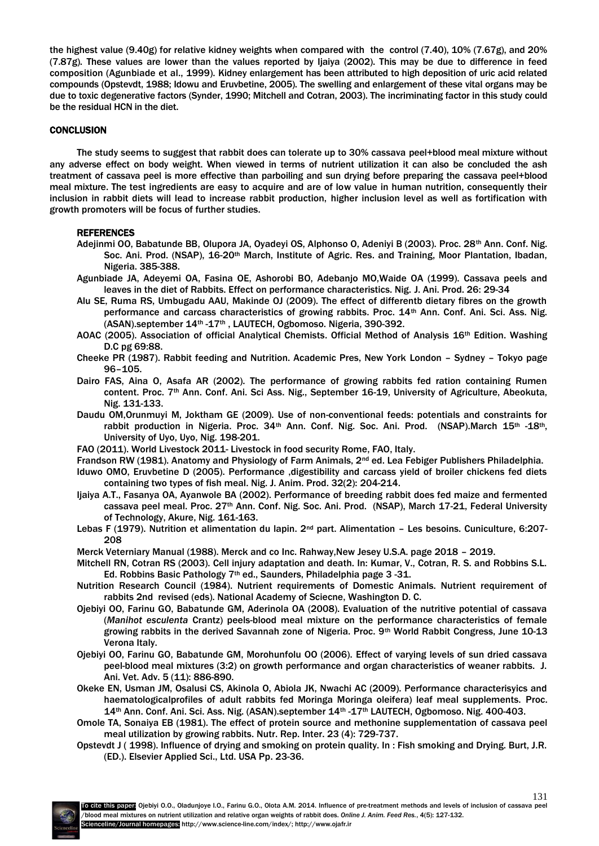the highest value (9.40g) for relative kidney weights when compared with the control (7.40), 10% (7.67g), and 20% (7.87g). These values are lower than the values reported by Ijaiya (2002). This may be due to difference in feed composition (Agunbiade et al., 1999). Kidney enlargement has been attributed to high deposition of uric acid related compounds (Opstevdt, 1988; Idowu and Eruvbetine, 2005). The swelling and enlargement of these vital organs may be due to toxic degenerative factors (Synder, 1990; Mitchell and Cotran, 2003). The incriminating factor in this study could be the residual HCN in the diet.

# **CONCLUSION**

The study seems to suggest that rabbit does can tolerate up to 30% cassava peel+blood meal mixture without any adverse effect on body weight. When viewed in terms of nutrient utilization it can also be concluded the ash treatment of cassava peel is more effective than parboiling and sun drying before preparing the cassava peel+blood meal mixture. The test ingredients are easy to acquire and are of low value in human nutrition, consequently their inclusion in rabbit diets will lead to increase rabbit production, higher inclusion level as well as fortification with growth promoters will be focus of further studies.

## REFERENCES

- Adejinmi OO, Babatunde BB, Olupora JA, Oyadeyi OS, Alphonso O, Adeniyi B (2003). Proc. 28<sup>th</sup> Ann. Conf. Nig. Soc. Ani. Prod. (NSAP), 16-20th March, Institute of Agric. Res. and Training, Moor Plantation, Ibadan, Nigeria. 385-388.
- Agunbiade JA, Adeyemi OA, Fasina OE, Ashorobi BO, Adebanjo MO,Waide OA (1999). Cassava peels and leaves in the diet of Rabbits. Effect on performance characteristics. Nig. J. Ani. Prod. 26: 29-34
- Alu SE, Ruma RS, Umbugadu AAU, Makinde OJ (2009). The effect of differentb dietary fibres on the growth performance and carcass characteristics of growing rabbits. Proc. 14th Ann. Conf. Ani. Sci. Ass. Nig. (ASAN).september 14th -17th , LAUTECH, Ogbomoso. Nigeria, 390-392.
- AOAC (2005). Association of official Analytical Chemists. Official Method of Analysis 16th Edition. Washing D.C pg 69:88.
- Cheeke PR (1987). Rabbit feeding and Nutrition. Academic Pres, New York London Sydney Tokyo page 96–105.
- Dairo FAS, Aina O, Asafa AR (2002). The performance of growing rabbits fed ration containing Rumen content. Proc. 7th Ann. Conf. Ani. Sci Ass. Nig., September 16-19, University of Agriculture, Abeokuta, Nig. 131-133.
- Daudu OM,Orunmuyi M, Joktham GE (2009). Use of non-conventional feeds: potentials and constraints for rabbit production in Nigeria. Proc. 34<sup>th</sup> Ann. Conf. Nig. Soc. Ani. Prod. (NSAP).March 15<sup>th</sup> -18<sup>th</sup>, University of Uyo, Uyo, Nig. 198-201.
- FAO (2011). World Livestock 2011- Livestock in food security Rome, FAO, Italy.
- Frandson RW (1981). Anatomy and Physiology of Farm Animals, 2<sup>nd</sup> ed. Lea Febiger Publishers Philadelphia.
- Iduwo OMO, Eruvbetine D (2005). Performance ,digestibility and carcass yield of broiler chickens fed diets containing two types of fish meal. Nig. J. Anim. Prod. 32(2): 204-214.
- Ijaiya A.T., Fasanya OA, Ayanwole BA (2002). Performance of breeding rabbit does fed maize and fermented cassava peel meal. Proc. 27<sup>th</sup> Ann. Conf. Nig. Soc. Ani. Prod. (NSAP), March 17-21, Federal University of Technology, Akure, Nig. 161-163.
- Lebas F (1979). Nutrition et alimentation du lapin. 2<sup>nd</sup> part. Alimentation Les besoins. Cuniculture, 6:207-208
- Merck Veterniary Manual (1988). Merck and co Inc. Rahway,New Jesey U.S.A. page 2018 2019.
- Mitchell RN, Cotran RS (2003). Cell injury adaptation and death. In: Kumar, V., Cotran, R. S. and Robbins S.L. Ed. Robbins Basic Pathology 7th ed., Saunders, Philadelphia page 3 -31.
- Nutrition Research Council (1984). Nutrient requirements of Domestic Animals. Nutrient requirement of rabbits 2nd revised (eds). National Academy of Sciecne, Washington D. C.
- Ojebiyi OO, Farinu GO, Babatunde GM, Aderinola OA (2008). Evaluation of the nutritive potential of cassava (*Manihot esculenta* Crantz) peels-blood meal mixture on the performance characteristics of female growing rabbits in the derived Savannah zone of Nigeria. Proc. 9<sup>th</sup> World Rabbit Congress, June 10-13 Verona Italy.
- Ojebiyi OO, Farinu GO, Babatunde GM, Morohunfolu OO (2006). Effect of varying levels of sun dried cassava peel-blood meal mixtures (3:2) on growth performance and organ characteristics of weaner rabbits. J. Ani. Vet. Adv. 5 (11): 886-890.
- Okeke EN, Usman JM, Osalusi CS, Akinola O, Abiola JK, Nwachi AC (2009). Performance characterisyics and haematologicalprofiles of adult rabbits fed Moringa Moringa oleifera) leaf meal supplements. Proc. 14th Ann. Conf. Ani. Sci. Ass. Nig. (ASAN).september 14th -17th LAUTECH, Ogbomoso. Nig. 400-403.

Omole TA, Sonaiya EB (1981). The effect of protein source and methonine supplementation of cassava peel meal utilization by growing rabbits. Nutr. Rep. Inter. 23 (4): 729-737.

Opstevdt J ( 1998). Influence of drying and smoking on protein quality. In : Fish smoking and Drying. Burt, J.R. (ED.). Elsevier Applied Sci., Ltd. USA Pp. 23-36.